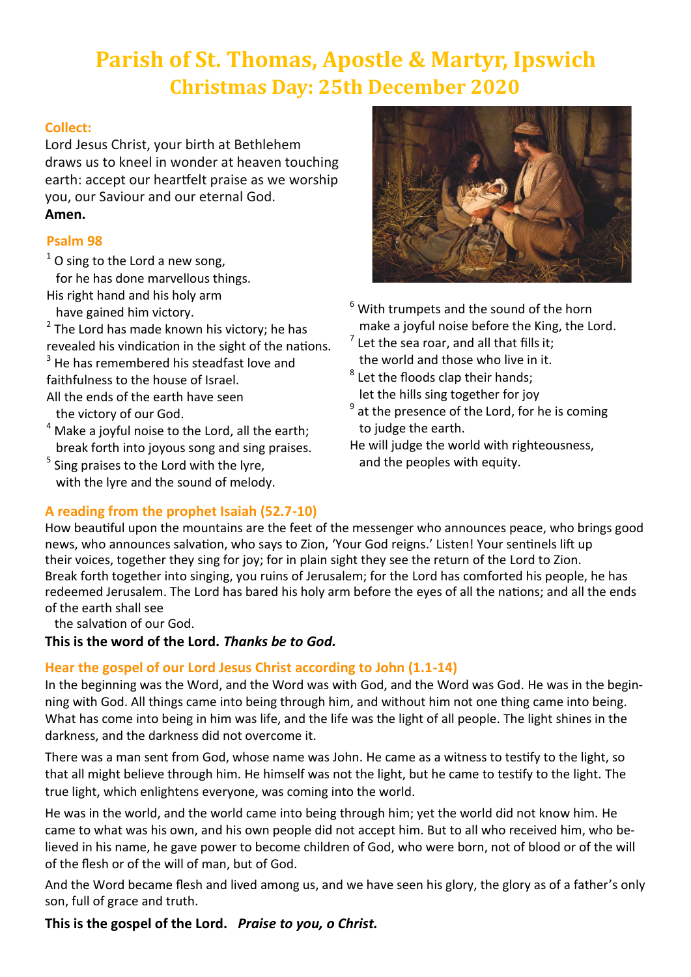# **Parish of St. Thomas, Apostle & Martyr, Ipswich Christmas Day: 25th December 2020**

## **Collect:**

Lord Jesus Christ, your birth at Bethlehem draws us to kneel in wonder at heaven touching earth: accept our heartfelt praise as we worship you, our Saviour and our eternal God. **Amen.**

## **Psalm 98**

 $1$  O sing to the Lord a new song,

for he has done marvellous things.

His right hand and his holy arm

have gained him victory.

 $2$  The Lord has made known his victory; he has revealed his vindication in the sight of the nations.  $3$  He has remembered his steadfast love and

faithfulness to the house of Israel.

- All the ends of the earth have seen the victory of our God.
- $4$  Make a joyful noise to the Lord, all the earth; break forth into joyous song and sing praises.
- <sup>5</sup> Sing praises to the Lord with the lyre, with the lyre and the sound of melody.



- $6$  With trumpets and the sound of the horn make a joyful noise before the King, the Lord.
- $<sup>7</sup>$  Let the sea roar, and all that fills it;</sup> the world and those who live in it.
- $^8$  Let the floods clap their hands; let the hills sing together for joy
- $<sup>9</sup>$  at the presence of the Lord, for he is coming</sup> to judge the earth.
- He will judge the world with righteousness, and the peoples with equity.

## **A reading from the prophet Isaiah (52.7-10)**

How beautiful upon the mountains are the feet of the messenger who announces peace, who brings good news, who announces salvation, who says to Zion, 'Your God reigns.' Listen! Your sentinels lift up their voices, together they sing for joy; for in plain sight they see the return of the Lord to Zion. Break forth together into singing, you ruins of Jerusalem; for the Lord has comforted his people, he has redeemed Jerusalem. The Lord has bared his holy arm before the eyes of all the nations; and all the ends of the earth shall see

the salvation of our God.

**This is the word of the Lord.** *Thanks be to God.*

## **Hear the gospel of our Lord Jesus Christ according to John (1.1-14)**

In the beginning was the Word, and the Word was with God, and the Word was God. He was in the beginning with God. All things came into being through him, and without him not one thing came into being. What has come into being in him was life, and the life was the light of all people. The light shines in the darkness, and the darkness did not overcome it.

There was a man sent from God, whose name was John. He came as a witness to testify to the light, so that all might believe through him. He himself was not the light, but he came to testify to the light. The true light, which enlightens everyone, was coming into the world.

He was in the world, and the world came into being through him; yet the world did not know him. He came to what was his own, and his own people did not accept him. But to all who received him, who believed in his name, he gave power to become children of God, who were born, not of blood or of the will of the flesh or of the will of man, but of God.

And the Word became flesh and lived among us, and we have seen his glory, the glory as of a father's only son, full of grace and truth.

## **This is the gospel of the Lord.** *Praise to you, o Christ.*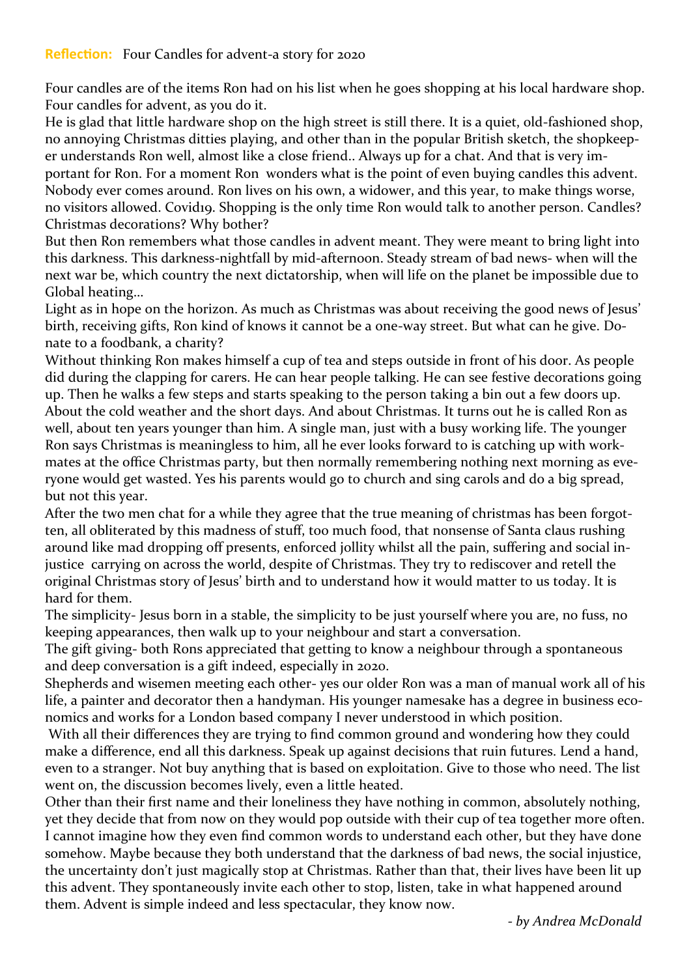Four candles are of the items Ron had on his list when he goes shopping at his local hardware shop. Four candles for advent, as you do it.

He is glad that little hardware shop on the high street is still there. It is a quiet, old-fashioned shop, no annoying Christmas ditties playing, and other than in the popular British sketch, the shopkeeper understands Ron well, almost like a close friend.. Always up for a chat. And that is very important for Ron. For a moment Ron wonders what is the point of even buying candles this advent. Nobody ever comes around. Ron lives on his own, a widower, and this year, to make things worse, no visitors allowed. Covid19. Shopping is the only time Ron would talk to another person. Candles? Christmas decorations? Why bother?

But then Ron remembers what those candles in advent meant. They were meant to bring light into this darkness. This darkness-nightfall by mid-afternoon. Steady stream of bad news- when will the next war be, which country the next dictatorship, when will life on the planet be impossible due to Global heating…

Light as in hope on the horizon. As much as Christmas was about receiving the good news of Jesus' birth, receiving gifts, Ron kind of knows it cannot be a one-way street. But what can he give. Donate to a foodbank, a charity?

Without thinking Ron makes himself a cup of tea and steps outside in front of his door. As people did during the clapping for carers. He can hear people talking. He can see festive decorations going up. Then he walks a few steps and starts speaking to the person taking a bin out a few doors up. About the cold weather and the short days. And about Christmas. It turns out he is called Ron as well, about ten years younger than him. A single man, just with a busy working life. The younger Ron says Christmas is meaningless to him, all he ever looks forward to is catching up with workmates at the office Christmas party, but then normally remembering nothing next morning as everyone would get wasted. Yes his parents would go to church and sing carols and do a big spread, but not this year.

After the two men chat for a while they agree that the true meaning of christmas has been forgotten, all obliterated by this madness of stuff, too much food, that nonsense of Santa claus rushing around like mad dropping off presents, enforced jollity whilst all the pain, suffering and social injustice carrying on across the world, despite of Christmas. They try to rediscover and retell the original Christmas story of Jesus' birth and to understand how it would matter to us today. It is hard for them.

The simplicity- Jesus born in a stable, the simplicity to be just yourself where you are, no fuss, no keeping appearances, then walk up to your neighbour and start a conversation.

The gift giving- both Rons appreciated that getting to know a neighbour through a spontaneous and deep conversation is a gift indeed, especially in 2020.

Shepherds and wisemen meeting each other- yes our older Ron was a man of manual work all of his life, a painter and decorator then a handyman. His younger namesake has a degree in business economics and works for a London based company I never understood in which position.

With all their differences they are trying to find common ground and wondering how they could make a difference, end all this darkness. Speak up against decisions that ruin futures. Lend a hand, even to a stranger. Not buy anything that is based on exploitation. Give to those who need. The list went on, the discussion becomes lively, even a little heated.

Other than their first name and their loneliness they have nothing in common, absolutely nothing, yet they decide that from now on they would pop outside with their cup of tea together more often. I cannot imagine how they even find common words to understand each other, but they have done somehow. Maybe because they both understand that the darkness of bad news, the social injustice, the uncertainty don't just magically stop at Christmas. Rather than that, their lives have been lit up this advent. They spontaneously invite each other to stop, listen, take in what happened around them. Advent is simple indeed and less spectacular, they know now.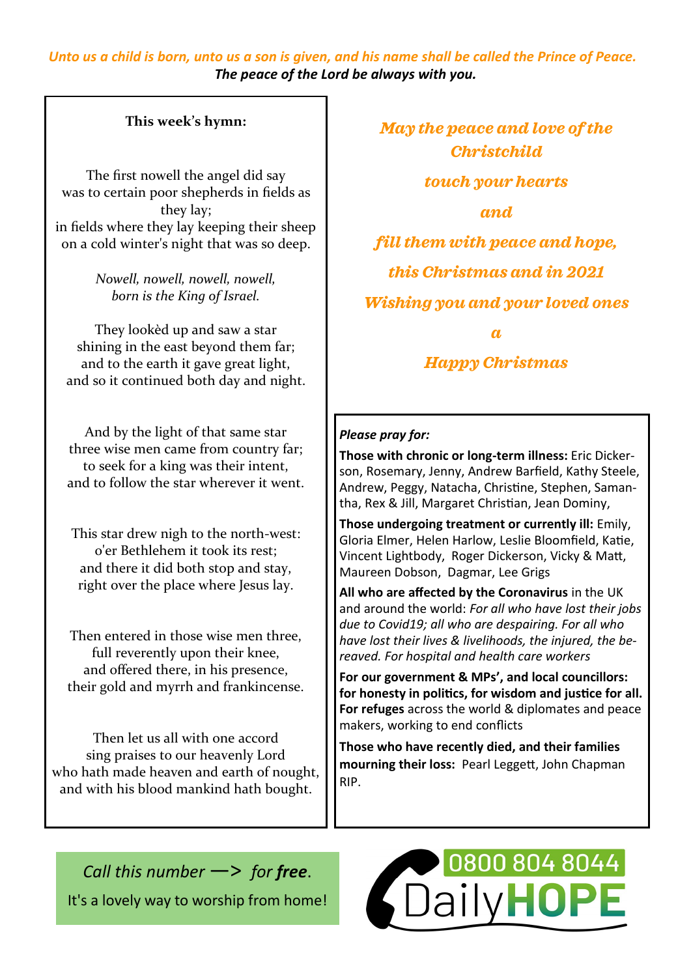## *Unto us a child is born, unto us a son is given, and his name shall be called the Prince of Peace. The peace of the Lord be always with you.*

## **This week's hymn:**

The first nowell the angel did say was to certain poor shepherds in fields as they lay; in fields where they lay keeping their sheep on a cold winter's night that was so deep.

> *Nowell, nowell, nowell, nowell, born is the King of Israel.*

They lookèd up and saw a star shining in the east beyond them far; and to the earth it gave great light, and so it continued both day and night.

And by the light of that same star three wise men came from country far; to seek for a king was their intent, and to follow the star wherever it went.

This star drew nigh to the north-west: o'er Bethlehem it took its rest; and there it did both stop and stay, right over the place where Jesus lay.

Then entered in those wise men three, full reverently upon their knee, and offered there, in his presence, their gold and myrrh and frankincense.

Then let us all with one accord sing praises to our heavenly Lord who hath made heaven and earth of nought, and with his blood mankind hath bought.

*May the peace and love of the Christchild touch your hearts and fill them with peace and hope, this Christmas and in 2021 Wishing you and your loved ones a*

*Happy Christmas*

#### *Please pray for:*

**Those with chronic or long-term illness:** Eric Dickerson, Rosemary, Jenny, Andrew Barfield, Kathy Steele, Andrew, Peggy, Natacha, Christine, Stephen, Samantha, Rex & Jill, Margaret Christian, Jean Dominy,

**Those undergoing treatment or currently ill:** Emily, Gloria Elmer, Helen Harlow, Leslie Bloomfield, Katie, Vincent Lightbody, Roger Dickerson, Vicky & Matt, Maureen Dobson, Dagmar, Lee Grigs

**All who are affected by the Coronavirus** in the UK and around the world: *For all who have lost their jobs due to Covid19; all who are despairing. For all who have lost their lives & livelihoods, the injured, the bereaved. For hospital and health care workers*

**For our government & MPs', and local councillors: for honesty in politics, for wisdom and justice for all. For refuges** across the world & diplomates and peace makers, working to end conflicts

**Those who have recently died, and their families mourning their loss:** Pearl Leggett, John Chapman RIP.

*Call this number* —> *for free*. It's a lovely way to worship from home!